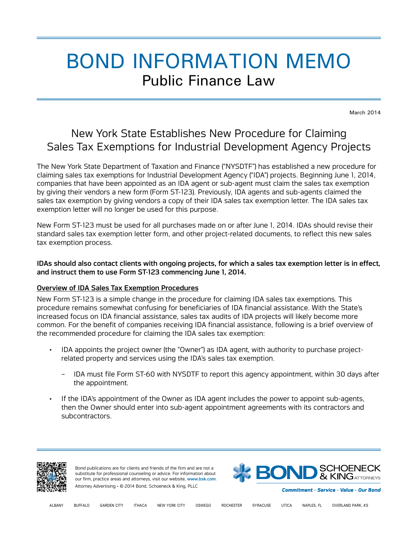# BOND INFORMATION MEMO Public Finance Law

March 2014

# New York State Establishes New Procedure for Claiming Sales Tax Exemptions for Industrial Development Agency Projects

The New York State Department of Taxation and Finance ("NYSDTF") has established a new procedure for claiming sales tax exemptions for Industrial Development Agency ("IDA") projects. Beginning June 1, 2014, companies that have been appointed as an IDA agent or sub-agent must claim the sales tax exemption by giving their vendors a new form (Form ST-123). Previously, IDA agents and sub-agents claimed the sales tax exemption by giving vendors a copy of their IDA sales tax exemption letter. The IDA sales tax exemption letter will no longer be used for this purpose.

New Form ST-123 must be used for all purchases made on or after June 1, 2014. IDAs should revise their standard sales tax exemption letter form, and other project-related documents, to reflect this new sales tax exemption process.

## IDAs should also contact clients with ongoing projects, for which a sales tax exemption letter is in effect, and instruct them to use Form ST-123 commencing June 1, 2014.

## Overview of IDA Sales Tax Exemption Procedures

New Form ST-123 is a simple change in the procedure for claiming IDA sales tax exemptions. This procedure remains somewhat confusing for beneficiaries of IDA financial assistance. With the State's increased focus on IDA financial assistance, sales tax audits of IDA projects will likely become more common. For the benefit of companies receiving IDA financial assistance, following is a brief overview of the recommended procedure for claiming the IDA sales tax exemption:

- IDA appoints the project owner (the "Owner") as IDA agent, with authority to purchase projectrelated property and services using the IDA's sales tax exemption.
	- IDA must file Form ST-60 with NYSDTF to report this agency appointment, within 30 days after the appointment.
- If the IDA's appointment of the Owner as IDA agent includes the power to appoint sub-agents, then the Owner should enter into sub-agent appointment agreements with its contractors and subcontractors.



Bond publications are for clients and friends of the firm and are not a substitute for professional counseling or advice. For information about our firm, practice areas and attorneys, visit our website, [www.bsk.com](http://www.bsk.com/). Attorney Advertising • © 2014 Bond, Schoeneck & King, PLLC



Commitment · Service · Value · Our Bond